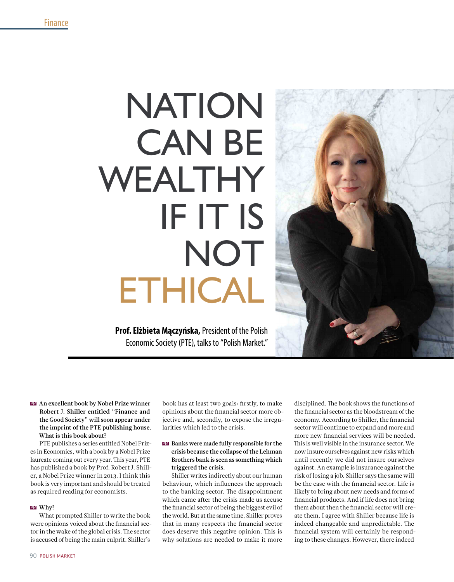# NATION **CAN BE** WEALTHY if it is NOT **ETHICAL**

**Prof. Elżbieta Mączyńska,** President of the Polish Economic Society (PTE), talks to "Polish Market."



# **EM** An excellent book by Nobel Prize winner Robert J. Shiller entitled "Finance and the Good Society" will soon appear under the imprint of the PTE publishing house. What is this book about?

PTE publishes a series entitled Nobel Prizes in Economics, with a book by a Nobel Prize laureate coming out every year. This year, PTE has published a book by Prof. Robert J. Shiller, a Nobel Prize winner in 2013. I think this book is very important and should be treated as required reading for economists.

#### Why? pm

What prompted Shiller to write the book were opinions voiced about the financial sector in the wake of the global crisis. The sector is accused of being the main culprit. Shiller's

book has at least two goals: firstly, to make opinions about the financial sector more objective and, secondly, to expose the irregularities which led to the crisis.

### $\mathbf{E}\mathbf{M}$  Banks were made fully responsible for the crisis because the collapse of the Lehman Brothers bank is seen as something which triggered the crisis.

Shiller writes indirectly about our human behaviour, which influences the approach to the banking sector. The disappointment which came after the crisis made us accuse the financial sector of being the biggest evil of the world. But at the same time, Shiller proves that in many respects the financial sector does deserve this negative opinion. This is why solutions are needed to make it more

disciplined. The book shows the functions of the financial sector as the bloodstream of the economy. According to Shiller, the financial sector will continue to expand and more and more new financial services will be needed. This is well visible in the insurance sector. We now insure ourselves against new risks which until recently we did not insure ourselves against. An example is insurance against the risk of losing a job. Shiller says the same will be the case with the financial sector. Life is likely to bring about new needs and forms of financial products. And if life does not bring them about then the financial sector will create them. I agree with Shiller because life is indeed changeable and unpredictable. The financial system will certainly be responding to these changes. However, there indeed